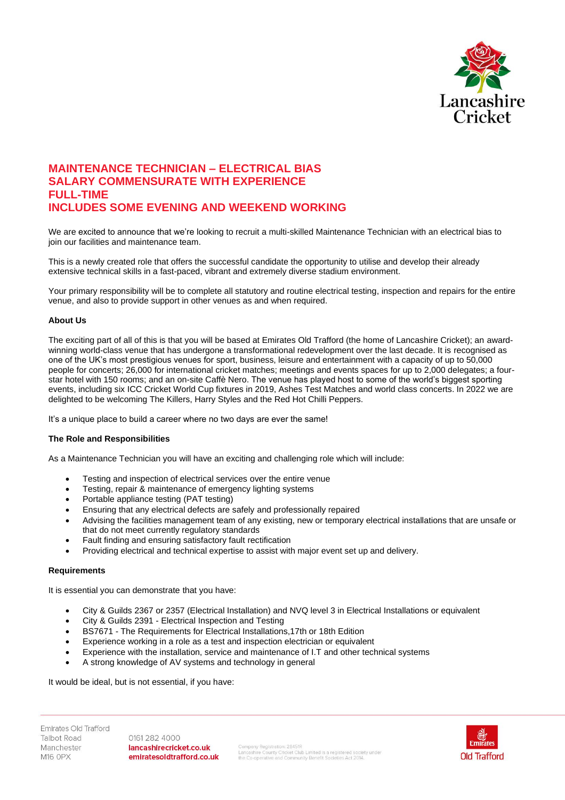

# **MAINTENANCE TECHNICIAN – ELECTRICAL BIAS SALARY COMMENSURATE WITH EXPERIENCE FULL-TIME INCLUDES SOME EVENING AND WEEKEND WORKING**

We are excited to announce that we're looking to recruit a multi-skilled Maintenance Technician with an electrical bias to join our facilities and maintenance team.

This is a newly created role that offers the successful candidate the opportunity to utilise and develop their already extensive technical skills in a fast-paced, vibrant and extremely diverse stadium environment.

Your primary responsibility will be to complete all statutory and routine electrical testing, inspection and repairs for the entire venue, and also to provide support in other venues as and when required.

## **About Us**

The exciting part of all of this is that you will be based at Emirates Old Trafford (the home of Lancashire Cricket); an awardwinning world-class venue that has undergone a transformational redevelopment over the last decade. It is recognised as one of the UK's most prestigious venues for sport, business, leisure and entertainment with a capacity of up to 50,000 people for concerts; 26,000 for international cricket matches; meetings and events spaces for up to 2,000 delegates; a fourstar hotel with 150 rooms; and an on-site Caffè Nero. The venue has played host to some of the world's biggest sporting events, including six ICC Cricket World Cup fixtures in 2019, Ashes Test Matches and world class concerts. In 2022 we are delighted to be welcoming The Killers, Harry Styles and the Red Hot Chilli Peppers.

It's a unique place to build a career where no two days are ever the same!

## **The Role and Responsibilities**

As a Maintenance Technician you will have an exciting and challenging role which will include:

- Testing and inspection of electrical services over the entire venue
- Testing, repair & maintenance of emergency lighting systems
- Portable appliance testing (PAT testing)
- Ensuring that any electrical defects are safely and professionally repaired
- Advising the facilities management team of any existing, new or temporary electrical installations that are unsafe or that do not meet currently regulatory standards
- Fault finding and ensuring satisfactory fault rectification
- Providing electrical and technical expertise to assist with major event set up and delivery.

### **Requirements**

It is essential you can demonstrate that you have:

- City & Guilds 2367 or 2357 (Electrical Installation) and NVQ level 3 in Electrical Installations or equivalent
- City & Guilds 2391 Electrical Inspection and Testing
- BS7671 The Requirements for Electrical Installations,17th or 18th Edition
- Experience working in a role as a test and inspection electrician or equivalent
- Experience with the installation, service and maintenance of I.T and other technical systems
- A strong knowledge of AV systems and technology in general

#### It would be ideal, but is not essential, if you have:

Emirates Old Trafford **Talbot Road** Manchester M16 OPX

0161 282 4000 lancashirecricket.co.uk emiratesoldtrafford.co.uk

.<br>Company Registration: 28451R<br>the Co-operative and Community Benefit Societies Act 2014.